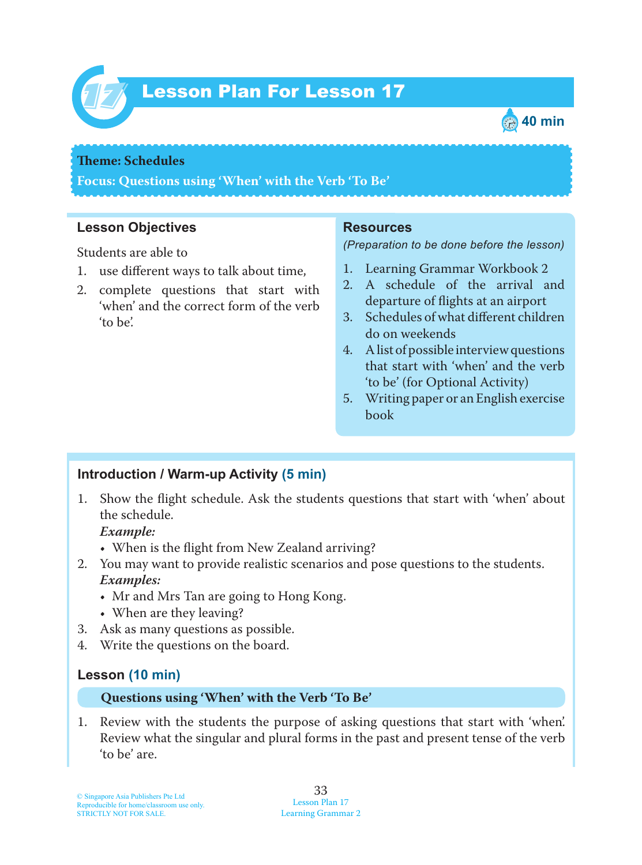

# Lesson Plan For Lesson 17 *17*



### **Theme: Schedules**

**Focus: Questions using 'When' with the Verb 'To Be'**

## **Lesson Objectives**

Students are able to

- 1. use different ways to talk about time,
- 2. complete questions that start with 'when' and the correct form of the verb 'to be'.

#### **Resources**

*(Preparation to be done before the lesson)*

- 1. Learning Grammar Workbook 2
- 2. A schedule of the arrival and departure of flights at an airport
- 3. Schedules of what different children do on weekends
- 4. A list of possible interview questions that start with 'when' and the verb 'to be' (for Optional Activity)
- 5. Writing paper or an English exercise book

## **Introduction / Warm-up Activity (5 min)**

1. Show the flight schedule. Ask the students questions that start with 'when' about the schedule.

 *Example:*

- When is the flight from New Zealand arriving?
- 2. You may want to provide realistic scenarios and pose questions to the students.  *Examples:*
	- Mr and Mrs Tan are going to Hong Kong.
	- When are they leaving?
- 3. Ask as many questions as possible.
- 4. Write the questions on the board.

## **Lesson (10 min)**

#### **Questions using 'When' with the Verb 'To Be'**

1. Review with the students the purpose of asking questions that start with 'when'. Review what the singular and plural forms in the past and present tense of the verb 'to be' are.